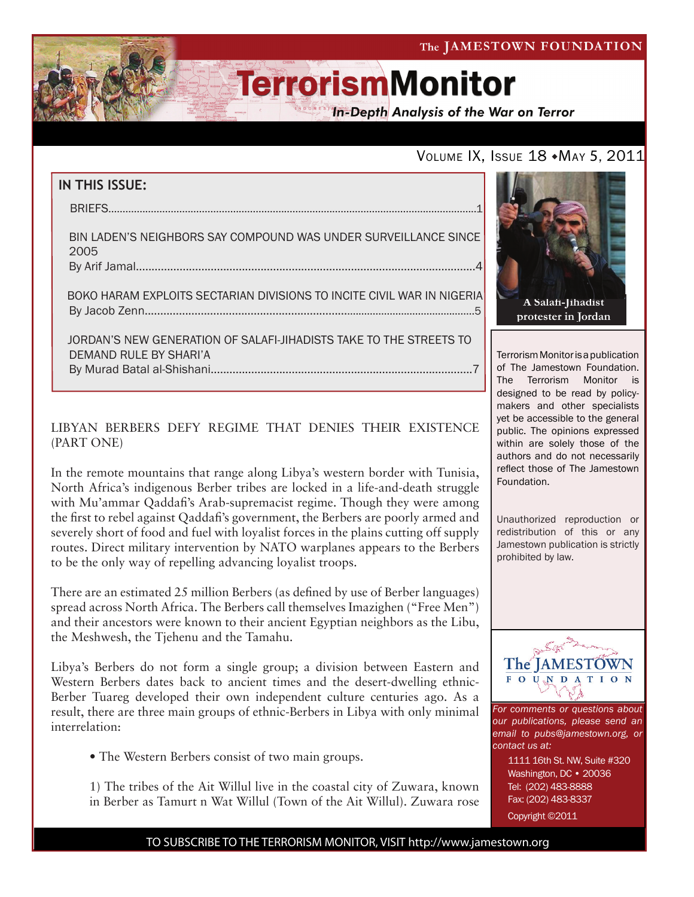**In-Depth Analysis of the War on Terror** 

### VOLUME IX, ISSUE 18 MAY 5, 2011

## **IN THIS ISSUE:** briefs..................................................................................................................................1 Bin Laden's Neighbors Say Compound Was Under Surveillance Since 2005 By Arif Jamal.............................................................................................................4 boko haram exploits sectarian divisions to incite civil war in nigeria by Jacob Zenn..............................................................................................................5 jordan's new generation of salafi-jihadists take to the streets to

 demand rule by shari'a By Murad Batal al-Shishani....................................................................................7

#### LIBYAN BERBERS DEFY REGIME THAT DENIES THEIR EXISTENCE (PART ONE)

In the remote mountains that range along Libya's western border with Tunisia, North Africa's indigenous Berber tribes are locked in a life-and-death struggle with Mu'ammar Qaddafi's Arab-supremacist regime. Though they were among the first to rebel against Qaddafi's government, the Berbers are poorly armed and severely short of food and fuel with loyalist forces in the plains cutting off supply routes. Direct military intervention by NATO warplanes appears to the Berbers to be the only way of repelling advancing loyalist troops.

There are an estimated 25 million Berbers (as defined by use of Berber languages) spread across North Africa. The Berbers call themselves Imazighen ("Free Men") and their ancestors were known to their ancient Egyptian neighbors as the Libu, the Meshwesh, the Tjehenu and the Tamahu.

Libya's Berbers do not form a single group; a division between Eastern and Western Berbers dates back to ancient times and the desert-dwelling ethnic-Berber Tuareg developed their own independent culture centuries ago. As a result, there are three main groups of ethnic-Berbers in Libya with only minimal interrelation:

• The Western Berbers consist of two main groups.

1) The tribes of the Ait Willul live in the coastal city of Zuwara, known in Berber as Tamurt n Wat Willul (Town of the Ait Willul). Zuwara rose



Terrorism Monitor is a publication of The Jamestown Foundation. The Terrorism Monitor is designed to be read by policymakers and other specialists yet be accessible to the general public. The opinions expressed within are solely those of the authors and do not necessarily reflect those of The Jamestown Foundation.

Unauthorized reproduction or redistribution of this or any Jamestown publication is strictly prohibited by law.



*For comments or questions about our publications, please send an email to pubs@jamestown.org, or contact us at:* 

1111 16th St. NW, Suite #320 Washington, DC • 20036 Tel: (202) 483-8888 Fax: (202) 483-8337

Copyright ©2011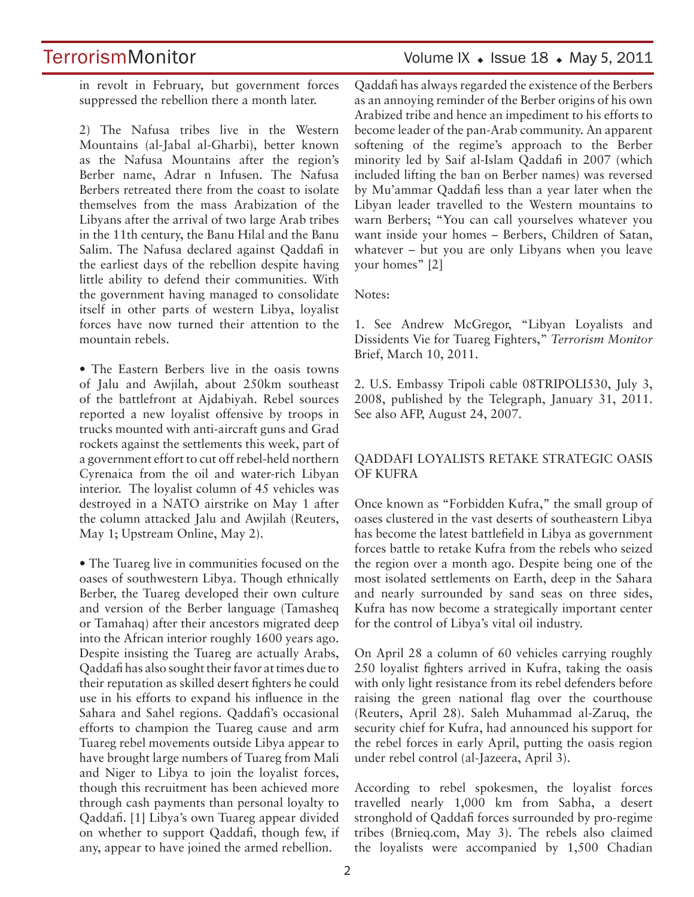TerrorismMonitor Volume IX • Issue 18 • May 5, 2011

in revolt in February, but government forces suppressed the rebellion there a month later.

2) The Nafusa tribes live in the Western Mountains (al-Jabal al-Gharbi), better known as the Nafusa Mountains after the region's Berber name, Adrar n Infusen. The Nafusa Berbers retreated there from the coast to isolate themselves from the mass Arabization of the Libyans after the arrival of two large Arab tribes in the 11th century, the Banu Hilal and the Banu Salim. The Nafusa declared against Qaddafi in the earliest days of the rebellion despite having little ability to defend their communities. With the government having managed to consolidate itself in other parts of western Libya, loyalist forces have now turned their attention to the mountain rebels.

• The Eastern Berbers live in the oasis towns of Jalu and Awjilah, about 250km southeast of the battlefront at Ajdabiyah. Rebel sources reported a new loyalist offensive by troops in trucks mounted with anti-aircraft guns and Grad rockets against the settlements this week, part of a government effort to cut off rebel-held northern Cyrenaica from the oil and water-rich Libyan interior. The loyalist column of 45 vehicles was destroyed in a NATO airstrike on May 1 after the column attacked Jalu and Awjilah (Reuters, May 1; Upstream Online, May 2).

• The Tuareg live in communities focused on the oases of southwestern Libya. Though ethnically Berber, the Tuareg developed their own culture and version of the Berber language (Tamasheq or Tamahaq) after their ancestors migrated deep into the African interior roughly 1600 years ago. Despite insisting the Tuareg are actually Arabs, Qaddafi has also sought their favor at times due to their reputation as skilled desert fighters he could use in his efforts to expand his influence in the Sahara and Sahel regions. Qaddafi's occasional efforts to champion the Tuareg cause and arm Tuareg rebel movements outside Libya appear to have brought large numbers of Tuareg from Mali and Niger to Libya to join the loyalist forces, though this recruitment has been achieved more through cash payments than personal loyalty to Qaddafi. [1] Libya's own Tuareg appear divided on whether to support Qaddafi, though few, if any, appear to have joined the armed rebellion.

Qaddafi has always regarded the existence of the Berbers as an annoying reminder of the Berber origins of his own Arabized tribe and hence an impediment to his efforts to become leader of the pan-Arab community. An apparent softening of the regime's approach to the Berber minority led by Saif al-Islam Qaddafi in 2007 (which included lifting the ban on Berber names) was reversed by Mu'ammar Qaddafi less than a year later when the Libyan leader travelled to the Western mountains to warn Berbers; "You can call yourselves whatever you want inside your homes – Berbers, Children of Satan, whatever – but you are only Libyans when you leave your homes" [2]

Notes:

1. See Andrew McGregor, "Libyan Loyalists and Dissidents Vie for Tuareg Fighters," *Terrorism Monitor*  Brief, March 10, 2011.

2. U.S. Embassy Tripoli cable 08TRIPOLI530, July 3, 2008, published by the Telegraph, January 31, 2011. See also AFP, August 24, 2007.

#### QADDAFI LOYALISTS RETAKE STRATEGIC OASIS OF KUFRA

Once known as "Forbidden Kufra," the small group of oases clustered in the vast deserts of southeastern Libya has become the latest battlefield in Libya as government forces battle to retake Kufra from the rebels who seized the region over a month ago. Despite being one of the most isolated settlements on Earth, deep in the Sahara and nearly surrounded by sand seas on three sides, Kufra has now become a strategically important center for the control of Libya's vital oil industry.

On April 28 a column of 60 vehicles carrying roughly 250 loyalist fighters arrived in Kufra, taking the oasis with only light resistance from its rebel defenders before raising the green national flag over the courthouse (Reuters, April 28). Saleh Muhammad al-Zaruq, the security chief for Kufra, had announced his support for the rebel forces in early April, putting the oasis region under rebel control (al-Jazeera, April 3).

According to rebel spokesmen, the loyalist forces travelled nearly 1,000 km from Sabha, a desert stronghold of Qaddafi forces surrounded by pro-regime tribes (Brnieq.com, May 3). The rebels also claimed the loyalists were accompanied by 1,500 Chadian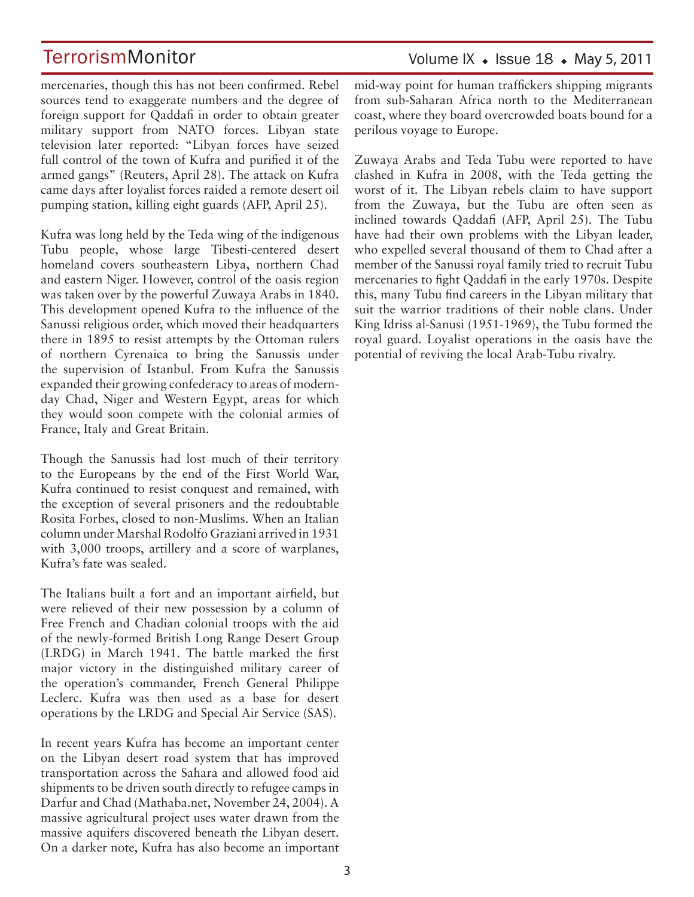Volume IX  $\bullet$  Issue 18  $\bullet$  May 5, 2011

mercenaries, though this has not been confirmed. Rebel sources tend to exaggerate numbers and the degree of foreign support for Qaddafi in order to obtain greater military support from NATO forces. Libyan state television later reported: "Libyan forces have seized full control of the town of Kufra and purified it of the armed gangs" (Reuters, April 28). The attack on Kufra came days after loyalist forces raided a remote desert oil pumping station, killing eight guards (AFP, April 25).

Kufra was long held by the Teda wing of the indigenous Tubu people, whose large Tibesti-centered desert homeland covers southeastern Libya, northern Chad and eastern Niger. However, control of the oasis region was taken over by the powerful Zuwaya Arabs in 1840. This development opened Kufra to the influence of the Sanussi religious order, which moved their headquarters there in 1895 to resist attempts by the Ottoman rulers of northern Cyrenaica to bring the Sanussis under the supervision of Istanbul. From Kufra the Sanussis expanded their growing confederacy to areas of modernday Chad, Niger and Western Egypt, areas for which they would soon compete with the colonial armies of France, Italy and Great Britain.

Though the Sanussis had lost much of their territory to the Europeans by the end of the First World War, Kufra continued to resist conquest and remained, with the exception of several prisoners and the redoubtable Rosita Forbes, closed to non-Muslims. When an Italian column under Marshal Rodolfo Graziani arrived in 1931 with 3,000 troops, artillery and a score of warplanes, Kufra's fate was sealed.

The Italians built a fort and an important airfield, but were relieved of their new possession by a column of Free French and Chadian colonial troops with the aid of the newly-formed British Long Range Desert Group (LRDG) in March 1941. The battle marked the first major victory in the distinguished military career of the operation's commander, French General Philippe Leclerc. Kufra was then used as a base for desert operations by the LRDG and Special Air Service (SAS).

In recent years Kufra has become an important center on the Libyan desert road system that has improved transportation across the Sahara and allowed food aid shipments to be driven south directly to refugee camps in Darfur and Chad (Mathaba.net, November 24, 2004). A massive agricultural project uses water drawn from the massive aquifers discovered beneath the Libyan desert. On a darker note, Kufra has also become an important

mid-way point for human traffickers shipping migrants from sub-Saharan Africa north to the Mediterranean coast, where they board overcrowded boats bound for a perilous voyage to Europe.

Zuwaya Arabs and Teda Tubu were reported to have clashed in Kufra in 2008, with the Teda getting the worst of it. The Libyan rebels claim to have support from the Zuwaya, but the Tubu are often seen as inclined towards Qaddafi (AFP, April 25). The Tubu have had their own problems with the Libyan leader, who expelled several thousand of them to Chad after a member of the Sanussi royal family tried to recruit Tubu mercenaries to fight Qaddafi in the early 1970s. Despite this, many Tubu find careers in the Libyan military that suit the warrior traditions of their noble clans. Under King Idriss al-Sanusi (1951-1969), the Tubu formed the royal guard. Loyalist operations in the oasis have the potential of reviving the local Arab-Tubu rivalry.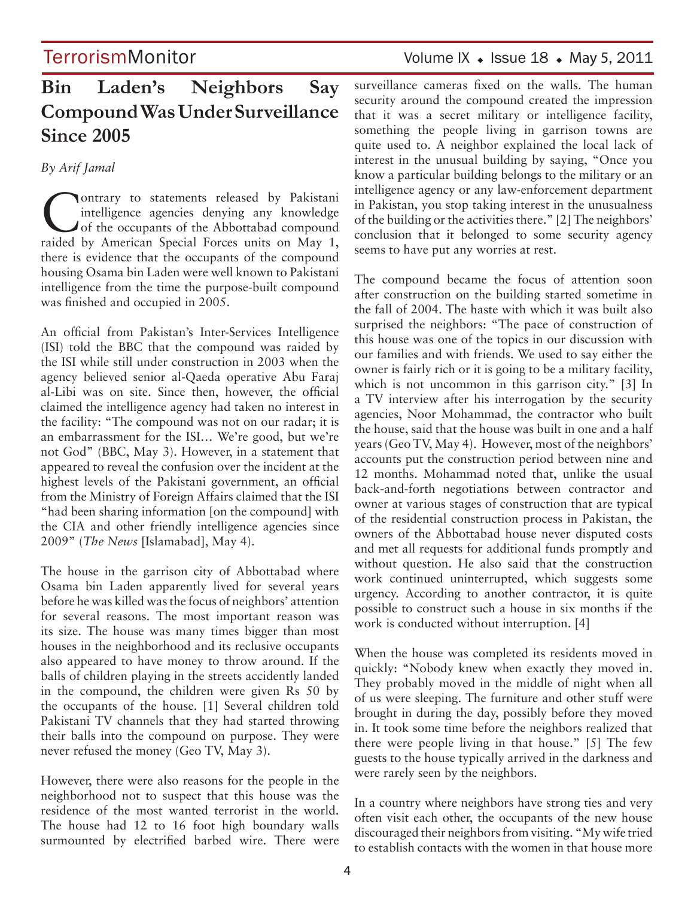### TerrorismMonitor Volume IX • Issue 18 • May 5, 2011

## **Bin Laden's Neighbors Say Compound Was Under Surveillance Since 2005**

#### *By Arif Jamal*

Contrary to statements released by Pakistani<br>
intelligence agencies denying any knowledge<br>
of the occupants of the Abbottabad compound<br>
reided by American Special Forces units on May 1 intelligence agencies denying any knowledge raided by American Special Forces units on May 1, there is evidence that the occupants of the compound housing Osama bin Laden were well known to Pakistani intelligence from the time the purpose-built compound was finished and occupied in 2005.

An official from Pakistan's Inter-Services Intelligence (ISI) told the BBC that the compound was raided by the ISI while still under construction in 2003 when the agency believed senior al-Qaeda operative Abu Faraj al-Libi was on site. Since then, however, the official claimed the intelligence agency had taken no interest in the facility: "The compound was not on our radar; it is an embarrassment for the ISI… We're good, but we're not God" (BBC, May 3). However, in a statement that appeared to reveal the confusion over the incident at the highest levels of the Pakistani government, an official from the Ministry of Foreign Affairs claimed that the ISI "had been sharing information [on the compound] with the CIA and other friendly intelligence agencies since 2009" (*The News* [Islamabad], May 4).

The house in the garrison city of Abbottabad where Osama bin Laden apparently lived for several years before he was killed was the focus of neighbors' attention for several reasons. The most important reason was its size. The house was many times bigger than most houses in the neighborhood and its reclusive occupants also appeared to have money to throw around. If the balls of children playing in the streets accidently landed in the compound, the children were given Rs 50 by the occupants of the house. [1] Several children told Pakistani TV channels that they had started throwing their balls into the compound on purpose. They were never refused the money (Geo TV, May 3).

However, there were also reasons for the people in the neighborhood not to suspect that this house was the residence of the most wanted terrorist in the world. The house had 12 to 16 foot high boundary walls surmounted by electrified barbed wire. There were surveillance cameras fixed on the walls. The human security around the compound created the impression that it was a secret military or intelligence facility, something the people living in garrison towns are quite used to. A neighbor explained the local lack of interest in the unusual building by saying, "Once you know a particular building belongs to the military or an intelligence agency or any law-enforcement department in Pakistan, you stop taking interest in the unusualness of the building or the activities there." [2] The neighbors' conclusion that it belonged to some security agency seems to have put any worries at rest.

The compound became the focus of attention soon after construction on the building started sometime in the fall of 2004. The haste with which it was built also surprised the neighbors: "The pace of construction of this house was one of the topics in our discussion with our families and with friends. We used to say either the owner is fairly rich or it is going to be a military facility, which is not uncommon in this garrison city." [3] In a TV interview after his interrogation by the security agencies, Noor Mohammad, the contractor who built the house, said that the house was built in one and a half years (Geo TV, May 4). However, most of the neighbors' accounts put the construction period between nine and 12 months. Mohammad noted that, unlike the usual back-and-forth negotiations between contractor and owner at various stages of construction that are typical of the residential construction process in Pakistan, the owners of the Abbottabad house never disputed costs and met all requests for additional funds promptly and without question. He also said that the construction work continued uninterrupted, which suggests some urgency. According to another contractor, it is quite possible to construct such a house in six months if the work is conducted without interruption. [4]

When the house was completed its residents moved in quickly: "Nobody knew when exactly they moved in. They probably moved in the middle of night when all of us were sleeping. The furniture and other stuff were brought in during the day, possibly before they moved in. It took some time before the neighbors realized that there were people living in that house." [5] The few guests to the house typically arrived in the darkness and were rarely seen by the neighbors.

In a country where neighbors have strong ties and very often visit each other, the occupants of the new house discouraged their neighbors from visiting. "My wife tried to establish contacts with the women in that house more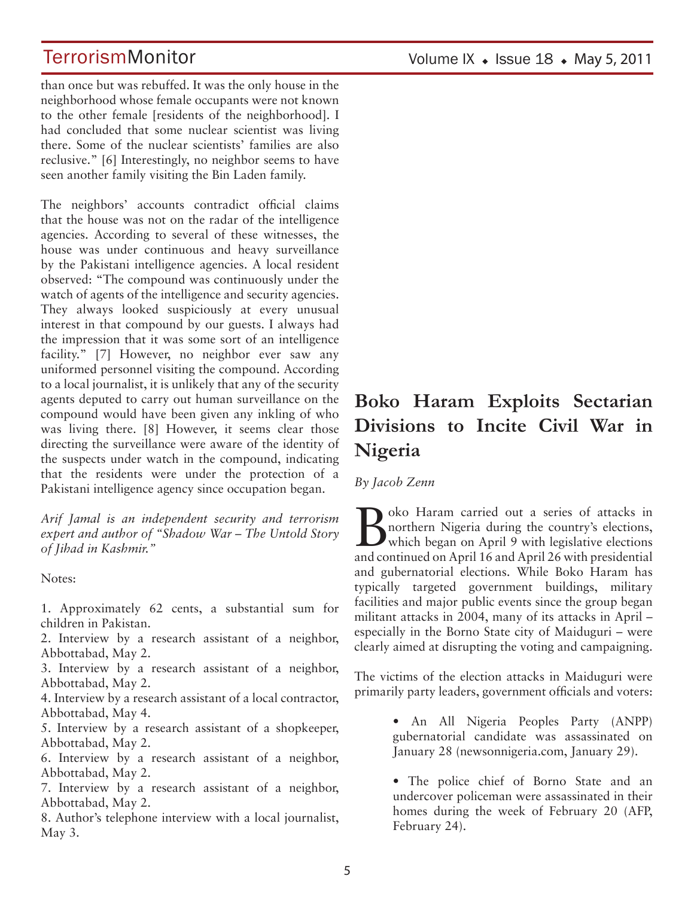than once but was rebuffed. It was the only house in the neighborhood whose female occupants were not known to the other female [residents of the neighborhood]. I had concluded that some nuclear scientist was living there. Some of the nuclear scientists' families are also reclusive." [6] Interestingly, no neighbor seems to have seen another family visiting the Bin Laden family.

The neighbors' accounts contradict official claims that the house was not on the radar of the intelligence agencies. According to several of these witnesses, the house was under continuous and heavy surveillance by the Pakistani intelligence agencies. A local resident observed: "The compound was continuously under the watch of agents of the intelligence and security agencies. They always looked suspiciously at every unusual interest in that compound by our guests. I always had the impression that it was some sort of an intelligence facility." [7] However, no neighbor ever saw any uniformed personnel visiting the compound. According to a local journalist, it is unlikely that any of the security agents deputed to carry out human surveillance on the compound would have been given any inkling of who was living there. [8] However, it seems clear those directing the surveillance were aware of the identity of the suspects under watch in the compound, indicating that the residents were under the protection of a Pakistani intelligence agency since occupation began.

*Arif Jamal is an independent security and terrorism expert and author of "Shadow War – The Untold Story of Jihad in Kashmir."*

Notes:

1. Approximately 62 cents, a substantial sum for children in Pakistan.

2. Interview by a research assistant of a neighbor, Abbottabad, May 2.

3. Interview by a research assistant of a neighbor, Abbottabad, May 2.

4. Interview by a research assistant of a local contractor, Abbottabad, May 4.

5. Interview by a research assistant of a shopkeeper, Abbottabad, May 2.

6. Interview by a research assistant of a neighbor, Abbottabad, May 2.

7. Interview by a research assistant of a neighbor, Abbottabad, May 2.

8. Author's telephone interview with a local journalist, May 3.

## **Boko Haram Exploits Sectarian Divisions to Incite Civil War in Nigeria**

*By Jacob Zenn* 

Boko Haram carried out a series of attacks in<br>
morthern Nigeria during the country's elections,<br>
which began on April 9 with legislative elections<br>
and continued on April 16 and April 26 with precidential northern Nigeria during the country's elections, **D** nothern ingeria during the legislative elections and continued on April 16 and April 26 with presidential and gubernatorial elections. While Boko Haram has typically targeted government buildings, military facilities and major public events since the group began militant attacks in 2004, many of its attacks in April – especially in the Borno State city of Maiduguri – were clearly aimed at disrupting the voting and campaigning.

The victims of the election attacks in Maiduguri were primarily party leaders, government officials and voters:

> • An All Nigeria Peoples Party (ANPP) gubernatorial candidate was assassinated on January 28 (newsonnigeria.com, January 29).

> • The police chief of Borno State and an undercover policeman were assassinated in their homes during the week of February 20 (AFP, February 24).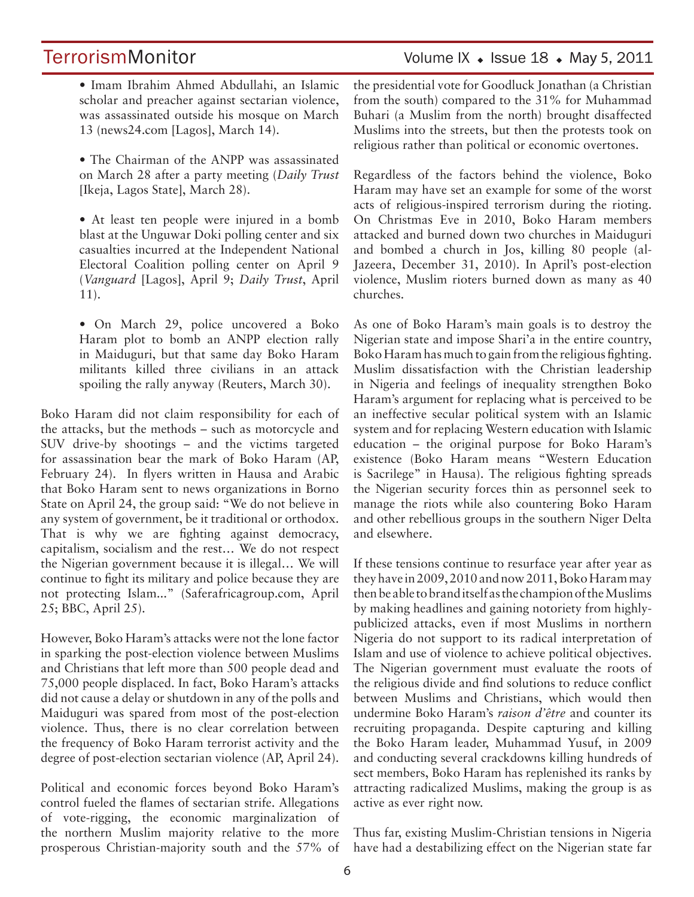### TerrorismMonitor Volume IX • Issue 18 • May 5, 2011

• Imam Ibrahim Ahmed Abdullahi, an Islamic scholar and preacher against sectarian violence, was assassinated outside his mosque on March 13 (news24.com [Lagos], March 14).

• The Chairman of the ANPP was assassinated on March 28 after a party meeting (*Daily Trust* [Ikeja, Lagos State], March 28).

• At least ten people were injured in a bomb blast at the Unguwar Doki polling center and six casualties incurred at the Independent National Electoral Coalition polling center on April 9 (*Vanguard* [Lagos], April 9; *Daily Trust*, April 11).

• On March 29, police uncovered a Boko Haram plot to bomb an ANPP election rally in Maiduguri, but that same day Boko Haram militants killed three civilians in an attack spoiling the rally anyway (Reuters, March 30).

Boko Haram did not claim responsibility for each of the attacks, but the methods – such as motorcycle and SUV drive-by shootings – and the victims targeted for assassination bear the mark of Boko Haram (AP, February 24). In flyers written in Hausa and Arabic that Boko Haram sent to news organizations in Borno State on April 24, the group said: "We do not believe in any system of government, be it traditional or orthodox. That is why we are fighting against democracy, capitalism, socialism and the rest… We do not respect the Nigerian government because it is illegal… We will continue to fight its military and police because they are not protecting Islam..." (Saferafricagroup.com, April 25; BBC, April 25).

However, Boko Haram's attacks were not the lone factor in sparking the post-election violence between Muslims and Christians that left more than 500 people dead and 75,000 people displaced. In fact, Boko Haram's attacks did not cause a delay or shutdown in any of the polls and Maiduguri was spared from most of the post-election violence. Thus, there is no clear correlation between the frequency of Boko Haram terrorist activity and the degree of post-election sectarian violence (AP, April 24).

Political and economic forces beyond Boko Haram's control fueled the flames of sectarian strife. Allegations of vote-rigging, the economic marginalization of the northern Muslim majority relative to the more prosperous Christian-majority south and the 57% of the presidential vote for Goodluck Jonathan (a Christian from the south) compared to the 31% for Muhammad Buhari (a Muslim from the north) brought disaffected Muslims into the streets, but then the protests took on religious rather than political or economic overtones.

Regardless of the factors behind the violence, Boko Haram may have set an example for some of the worst acts of religious-inspired terrorism during the rioting. On Christmas Eve in 2010, Boko Haram members attacked and burned down two churches in Maiduguri and bombed a church in Jos, killing 80 people (al-Jazeera, December 31, 2010). In April's post-election violence, Muslim rioters burned down as many as 40 churches.

As one of Boko Haram's main goals is to destroy the Nigerian state and impose Shari'a in the entire country, Boko Haram has much to gain from the religious fighting. Muslim dissatisfaction with the Christian leadership in Nigeria and feelings of inequality strengthen Boko Haram's argument for replacing what is perceived to be an ineffective secular political system with an Islamic system and for replacing Western education with Islamic education – the original purpose for Boko Haram's existence (Boko Haram means "Western Education is Sacrilege" in Hausa). The religious fighting spreads the Nigerian security forces thin as personnel seek to manage the riots while also countering Boko Haram and other rebellious groups in the southern Niger Delta and elsewhere.

If these tensions continue to resurface year after year as they have in 2009, 2010 and now 2011, Boko Haram may then be able to brand itself as the champion of the Muslims by making headlines and gaining notoriety from highlypublicized attacks, even if most Muslims in northern Nigeria do not support to its radical interpretation of Islam and use of violence to achieve political objectives. The Nigerian government must evaluate the roots of the religious divide and find solutions to reduce conflict between Muslims and Christians, which would then undermine Boko Haram's *raison d'être* and counter its recruiting propaganda. Despite capturing and killing the Boko Haram leader, Muhammad Yusuf, in 2009 and conducting several crackdowns killing hundreds of sect members, Boko Haram has replenished its ranks by attracting radicalized Muslims, making the group is as active as ever right now.

Thus far, existing Muslim-Christian tensions in Nigeria have had a destabilizing effect on the Nigerian state far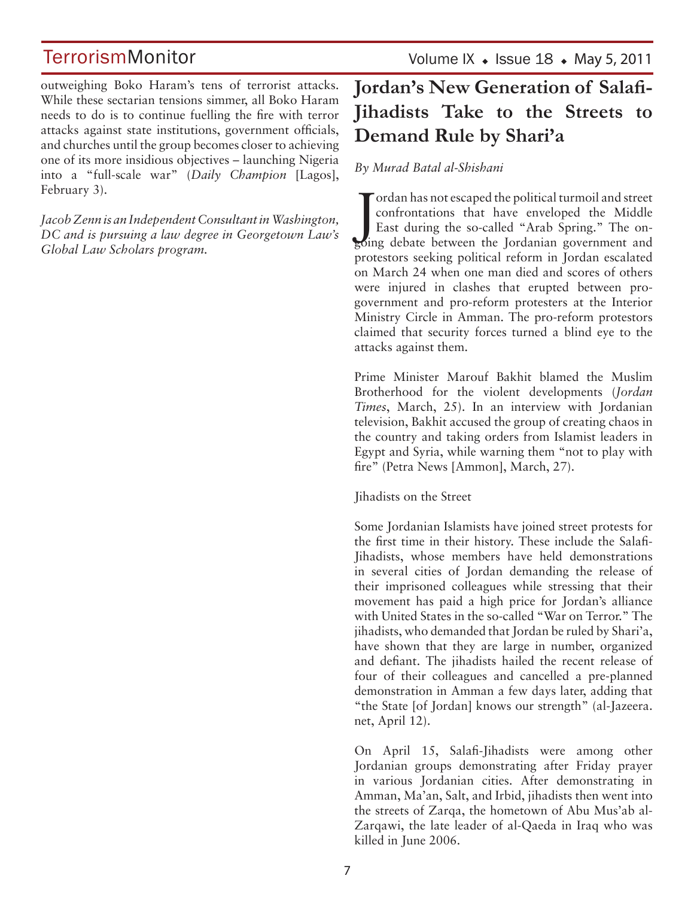Volume IX  $\bullet$  Issue 18  $\bullet$  May 5, 2011

outweighing Boko Haram's tens of terrorist attacks. While these sectarian tensions simmer, all Boko Haram needs to do is to continue fuelling the fire with terror attacks against state institutions, government officials, and churches until the group becomes closer to achieving one of its more insidious objectives – launching Nigeria into a "full-scale war" (*Daily Champion* [Lagos], February 3).

*Jacob Zenn is an Independent Consultant in Washington, DC and is pursuing a law degree in Georgetown Law's Global Law Scholars program.*

## **Jordan's New Generation of Salafi-Jihadists Take to the Streets to Demand Rule by Shari'a**

#### *By Murad Batal al-Shishani*

Tordan has not escaped the political turmoil and street<br>confrontations that have enveloped the Middle<br>East during the so-called "Arab Spring." The on-<br>going debate between the Jordanian government and ordan has not escaped the political turmoil and street confrontations that have enveloped the Middle East during the so-called "Arab Spring." The onprotestors seeking political reform in Jordan escalated on March 24 when one man died and scores of others were injured in clashes that erupted between progovernment and pro-reform protesters at the Interior Ministry Circle in Amman. The pro-reform protestors claimed that security forces turned a blind eye to the attacks against them.

Prime Minister Marouf Bakhit blamed the Muslim Brotherhood for the violent developments (*Jordan Times*, March, 25). In an interview with Jordanian television, Bakhit accused the group of creating chaos in the country and taking orders from Islamist leaders in Egypt and Syria, while warning them "not to play with fire" (Petra News [Ammon], March, 27).

Jihadists on the Street

Some Jordanian Islamists have joined street protests for the first time in their history. These include the Salafi-Jihadists, whose members have held demonstrations in several cities of Jordan demanding the release of their imprisoned colleagues while stressing that their movement has paid a high price for Jordan's alliance with United States in the so-called "War on Terror." The jihadists, who demanded that Jordan be ruled by Shari'a, have shown that they are large in number, organized and defiant. The jihadists hailed the recent release of four of their colleagues and cancelled a pre-planned demonstration in Amman a few days later, adding that "the State [of Jordan] knows our strength" (al-Jazeera. net, April 12).

On April 15, Salafi-Jihadists were among other Jordanian groups demonstrating after Friday prayer in various Jordanian cities. After demonstrating in Amman, Ma'an, Salt, and Irbid, jihadists then went into the streets of Zarqa, the hometown of Abu Mus'ab al-Zarqawi, the late leader of al-Qaeda in Iraq who was killed in June 2006.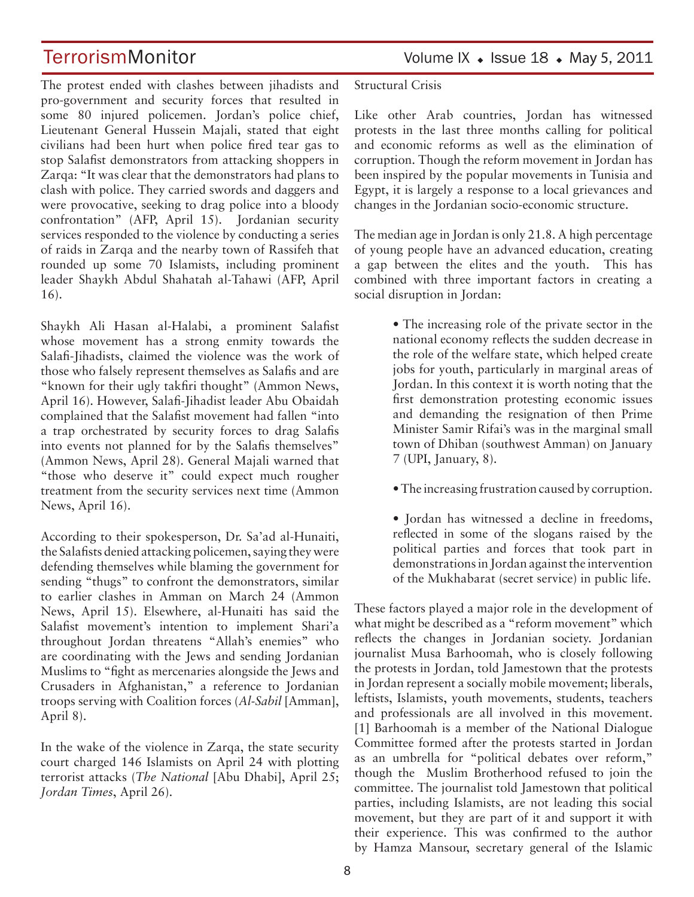The protest ended with clashes between jihadists and pro-government and security forces that resulted in some 80 injured policemen. Jordan's police chief, Lieutenant General Hussein Majali, stated that eight civilians had been hurt when police fired tear gas to stop Salafist demonstrators from attacking shoppers in Zarqa: "It was clear that the demonstrators had plans to clash with police. They carried swords and daggers and were provocative, seeking to drag police into a bloody confrontation" (AFP, April 15). Jordanian security services responded to the violence by conducting a series of raids in Zarqa and the nearby town of Rassifeh that rounded up some 70 Islamists, including prominent leader Shaykh Abdul Shahatah al-Tahawi (AFP, April 16).

Shaykh Ali Hasan al-Halabi, a prominent Salafist whose movement has a strong enmity towards the Salafi-Jihadists, claimed the violence was the work of those who falsely represent themselves as Salafis and are "known for their ugly takfiri thought" (Ammon News, April 16). However, Salafi-Jihadist leader Abu Obaidah complained that the Salafist movement had fallen "into a trap orchestrated by security forces to drag Salafis into events not planned for by the Salafis themselves" (Ammon News, April 28). General Majali warned that "those who deserve it" could expect much rougher treatment from the security services next time (Ammon News, April 16).

According to their spokesperson, Dr. Sa'ad al-Hunaiti, the Salafists denied attacking policemen, saying they were defending themselves while blaming the government for sending "thugs" to confront the demonstrators, similar to earlier clashes in Amman on March 24 (Ammon News, April 15). Elsewhere, al-Hunaiti has said the Salafist movement's intention to implement Shari'a throughout Jordan threatens "Allah's enemies" who are coordinating with the Jews and sending Jordanian Muslims to "fight as mercenaries alongside the Jews and Crusaders in Afghanistan," a reference to Jordanian troops serving with Coalition forces (*Al-Sabil* [Amman], April 8).

In the wake of the violence in Zarqa, the state security court charged 146 Islamists on April 24 with plotting terrorist attacks (*The National* [Abu Dhabi], April 25; *Jordan Times*, April 26).

TerrorismMonitor Volume IX • Issue 18 • May 5, 2011

Structural Crisis

Like other Arab countries, Jordan has witnessed protests in the last three months calling for political and economic reforms as well as the elimination of corruption. Though the reform movement in Jordan has been inspired by the popular movements in Tunisia and Egypt, it is largely a response to a local grievances and changes in the Jordanian socio-economic structure.

The median age in Jordan is only 21.8. A high percentage of young people have an advanced education, creating a gap between the elites and the youth. This has combined with three important factors in creating a social disruption in Jordan:

> • The increasing role of the private sector in the national economy reflects the sudden decrease in the role of the welfare state, which helped create jobs for youth, particularly in marginal areas of Jordan. In this context it is worth noting that the first demonstration protesting economic issues and demanding the resignation of then Prime Minister Samir Rifai's was in the marginal small town of Dhiban (southwest Amman) on January 7 (UPI, January, 8).

> • The increasing frustration caused by corruption.

• Jordan has witnessed a decline in freedoms, reflected in some of the slogans raised by the political parties and forces that took part in demonstrations in Jordan against the intervention of the Mukhabarat (secret service) in public life.

These factors played a major role in the development of what might be described as a "reform movement" which reflects the changes in Jordanian society. Jordanian journalist Musa Barhoomah, who is closely following the protests in Jordan, told Jamestown that the protests in Jordan represent a socially mobile movement; liberals, leftists, Islamists, youth movements, students, teachers and professionals are all involved in this movement. [1] Barhoomah is a member of the National Dialogue Committee formed after the protests started in Jordan as an umbrella for "political debates over reform," though the Muslim Brotherhood refused to join the committee. The journalist told Jamestown that political parties, including Islamists, are not leading this social movement, but they are part of it and support it with their experience. This was confirmed to the author by Hamza Mansour, secretary general of the Islamic